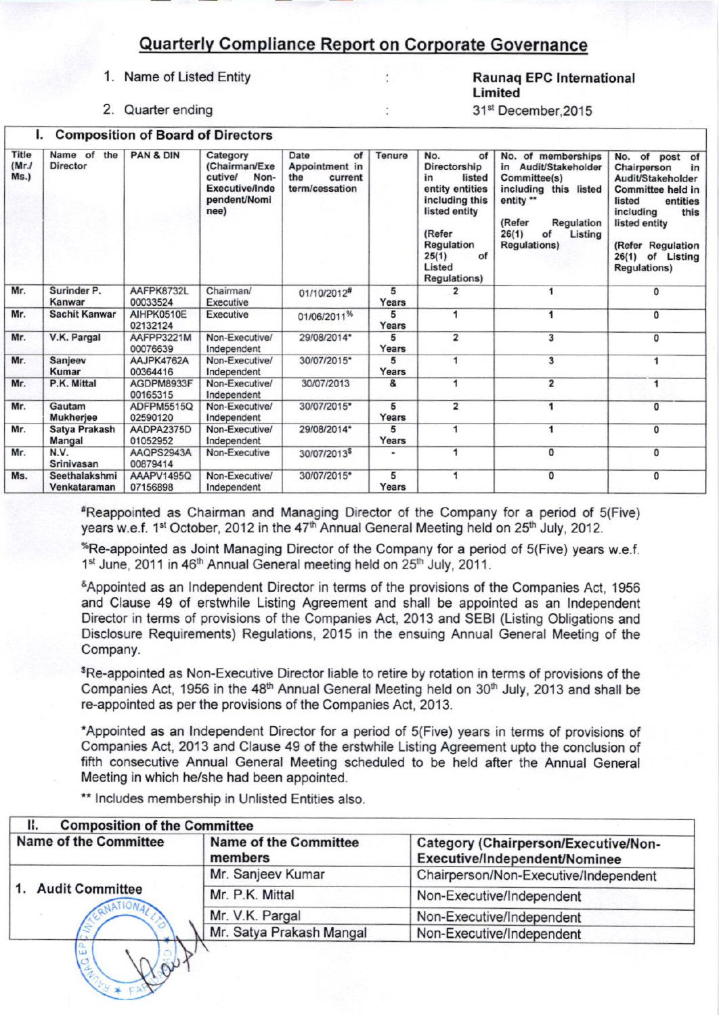## **Quarterly Compliance Report on Corporate Governance**

 $\ddot{\cdot}$ 

 $\ddot{\phantom{a}}$ 

## 1. Name of Listed Entity

2. Quarter ending **L. Composition of Board of Directors** 

## **Raunag EPC International** Limited

31<sup>st</sup> December, 2015

| Title<br>(Mr.l)<br>Ms.) | Name of the<br><b>Director</b>                  | <b>PAN &amp; DIN</b>   | Category<br>(Chairman/Exe<br>cutive/<br>Non-<br>Executive/Inde<br>pendent/Nomi<br>nee) | Date<br>of<br>Appointment in<br>the<br>current<br>term/cessation | Tenure                                                                                                                                                                                                                                                                                                                                                                                                                                   | No.<br>of<br>Directorship<br>in<br>listed<br>entity entities<br>including this<br>listed entity<br>(Refer<br>Regulation<br>of<br>25(1)<br>Listed<br><b>Regulations)</b> | No. of memberships<br>in<br>Audit/Stakeholder<br>Committee(s)<br>including this listed<br>entity **<br>(Refer<br>Regulation<br>26(1)<br>of<br>Listing<br><b>Regulations)</b> | No.<br>of post of<br>Chairperson<br>in<br>Audit/Stakeholder<br>Committee held in<br>listed<br>entities<br>including<br>this<br>listed entity<br>(Refer Regulation<br>26(1) of Listing<br><b>Regulations)</b> |
|-------------------------|-------------------------------------------------|------------------------|----------------------------------------------------------------------------------------|------------------------------------------------------------------|------------------------------------------------------------------------------------------------------------------------------------------------------------------------------------------------------------------------------------------------------------------------------------------------------------------------------------------------------------------------------------------------------------------------------------------|-------------------------------------------------------------------------------------------------------------------------------------------------------------------------|------------------------------------------------------------------------------------------------------------------------------------------------------------------------------|--------------------------------------------------------------------------------------------------------------------------------------------------------------------------------------------------------------|
| Mr.                     | Surinder P.<br>AAFPK8732L<br>Kanwar<br>00033524 |                        | Chairman/<br><b>Executive</b>                                                          | 01/10/2012#                                                      | 5<br>Years                                                                                                                                                                                                                                                                                                                                                                                                                               | 2                                                                                                                                                                       |                                                                                                                                                                              | 0                                                                                                                                                                                                            |
| Mr.                     | <b>Sachit Kanwar</b>                            | AIHPK0510E<br>02132124 | <b>Executive</b>                                                                       | 01/06/2011%                                                      | 5<br>Years                                                                                                                                                                                                                                                                                                                                                                                                                               | 1                                                                                                                                                                       | 1                                                                                                                                                                            | 0                                                                                                                                                                                                            |
| Mr.                     | V.K. Pargal                                     | AAFPP3221M<br>00076639 | Non-Executive/<br>Independent                                                          | 29/08/2014*                                                      | 5<br>Years                                                                                                                                                                                                                                                                                                                                                                                                                               | $\overline{\mathbf{2}}$                                                                                                                                                 | 3                                                                                                                                                                            | 0                                                                                                                                                                                                            |
| Mr.                     | Sanjeev<br>Kumar                                | AAJPK4762A<br>00364416 | Non-Executive/<br>Independent                                                          | 30/07/2015*                                                      | 5<br>Years                                                                                                                                                                                                                                                                                                                                                                                                                               | 1                                                                                                                                                                       | 3                                                                                                                                                                            | 1                                                                                                                                                                                                            |
| Mr.                     | P.K. Mittal                                     | AGDPM8933F<br>00165315 | Non-Executive/<br>Independent                                                          | 30/07/2013                                                       | &                                                                                                                                                                                                                                                                                                                                                                                                                                        | 1                                                                                                                                                                       | $\overline{\mathbf{2}}$                                                                                                                                                      | 1                                                                                                                                                                                                            |
| Mr.                     | Gautam<br><b>Mukherjee</b>                      | ADFPM5515Q<br>02590120 | Non-Executive/<br>Independent                                                          | 30/07/2015*                                                      | 5<br>Years                                                                                                                                                                                                                                                                                                                                                                                                                               | 2                                                                                                                                                                       | 1                                                                                                                                                                            | 0                                                                                                                                                                                                            |
| Mr.                     | Satya Prakash<br>Mangal                         | AADPA2375D<br>01052952 | Non-Executive/<br>Independent                                                          | 29/08/2014*                                                      | 5<br>Years                                                                                                                                                                                                                                                                                                                                                                                                                               | 1                                                                                                                                                                       | 1                                                                                                                                                                            | 0                                                                                                                                                                                                            |
| Mr.                     | N.V.<br>Srinivasan                              | AAQPS2943A<br>00879414 | Non-Executive                                                                          | 30/07/2013 <sup>\$</sup>                                         | $\centering \includegraphics[width=0.85\textwidth]{figs/fig_100223_10023_11-0.00022.pdf} \includegraphics[width=0.85\textwidth]{figs/fig_100223_11-0.00022.pdf} \includegraphics[width=0.85\textwidth]{figs/fig_100223_11-0.00022.pdf} \includegraphics[width=0.85\textwidth]{figs/fig_100223_11-0.00022.pdf} \includegraphics[width=0.85\textwidth]{figs/fig_100223_11-0.00022.pdf} \includegraphics[width=0.85\textwidth]{figs/fig_10$ | 1                                                                                                                                                                       | 0                                                                                                                                                                            | 0                                                                                                                                                                                                            |
| Ms.                     | Seethalakshmi<br>Venkataraman                   | AAAPV1495Q<br>07156898 | Non-Executive/<br>Independent                                                          | 30/07/2015*                                                      | 5<br>Years                                                                                                                                                                                                                                                                                                                                                                                                                               | 1                                                                                                                                                                       | 0                                                                                                                                                                            | 0                                                                                                                                                                                                            |

\*Reappointed as Chairman and Managing Director of the Company for a period of 5(Five) years w.e.f. 1<sup>st</sup> October, 2012 in the 47<sup>th</sup> Annual General Meeting held on 25<sup>th</sup> July, 2012.

\*Re-appointed as Joint Managing Director of the Company for a period of 5(Five) years w.e.f. 1st June, 2011 in 46<sup>th</sup> Annual General meeting held on 25<sup>th</sup> July, 2011.

&Appointed as an Independent Director in terms of the provisions of the Companies Act, 1956 and Clause 49 of erstwhile Listing Agreement and shall be appointed as an Independent Director in terms of provisions of the Companies Act, 2013 and SEBI (Listing Obligations and Disclosure Requirements) Regulations, 2015 in the ensuing Annual General Meeting of the Company.

\$Re-appointed as Non-Executive Director liable to retire by rotation in terms of provisions of the Companies Act, 1956 in the 48<sup>th</sup> Annual General Meeting held on 30<sup>th</sup> July, 2013 and shall be re-appointed as per the provisions of the Companies Act, 2013.

\*Appointed as an Independent Director for a period of 5(Five) years in terms of provisions of Companies Act, 2013 and Clause 49 of the erstwhile Listing Agreement upto the conclusion of fifth consecutive Annual General Meeting scheduled to be held after the Annual General Meeting in which he/she had been appointed.

\*\* Includes membership in Unlisted Entities also.

| <b>Name of the Committee</b> | <b>Name of the Committee</b><br>members | Category (Chairperson/Executive/Non-<br>Executive/Independent/Nominee |  |  |  |
|------------------------------|-----------------------------------------|-----------------------------------------------------------------------|--|--|--|
|                              | Mr. Sanjeev Kumar                       | Chairperson/Non-Executive/Independent                                 |  |  |  |
| 1. Audit Committee           | Mr. P.K. Mittal                         | Non-Executive/Independent                                             |  |  |  |
|                              | Mr. V.K. Pargal                         | Non-Executive/Independent                                             |  |  |  |
|                              | Mr. Satya Prakash Mangal                | Non-Executive/Independent                                             |  |  |  |